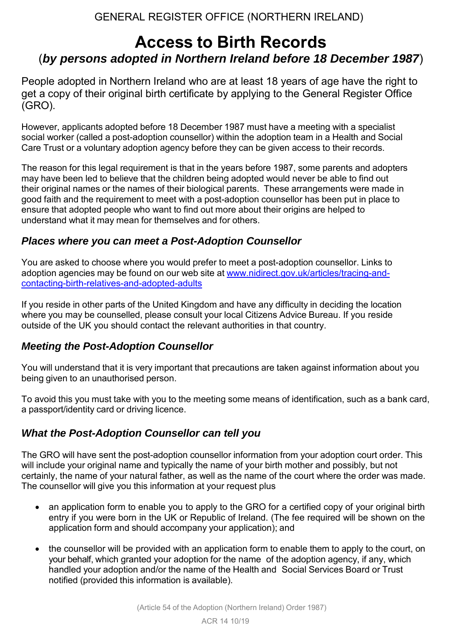## GENERAL REGISTER OFFICE (NORTHERN IRELAND)

# **Access to Birth Records** (*by persons adopted in Northern Ireland before 18 December 1987*)

People adopted in Northern Ireland who are at least 18 years of age have the right to get a copy of their original birth certificate by applying to the General Register Office (GRO).

However, applicants adopted before 18 December 1987 must have a meeting with a specialist social worker (called a post-adoption counsellor) within the adoption team in a Health and Social Care Trust or a voluntary adoption agency before they can be given access to their records.

The reason for this legal requirement is that in the years before 1987, some parents and adopters may have been led to believe that the children being adopted would never be able to find out their original names or the names of their biological parents. These arrangements were made in good faith and the requirement to meet with a post-adoption counsellor has been put in place to ensure that adopted people who want to find out more about their origins are helped to understand what it may mean for themselves and for others.

### *Places where you can meet a Post-Adoption Counsellor*

You are asked to choose where you would prefer to meet a post-adoption counsellor. Links to adoption agencies may be found on our web site at [www.nidirect.gov.uk/articles/tracing-and](http://www.nidirect.gov.uk/articles/tracing-and-contacting-birth-relatives-and-adopted-adults)[contacting-birth-relatives-and-adopted-adults](http://www.nidirect.gov.uk/articles/tracing-and-contacting-birth-relatives-and-adopted-adults)

If you reside in other parts of the United Kingdom and have any difficulty in deciding the location where you may be counselled, please consult your local Citizens Advice Bureau. If you reside outside of the UK you should contact the relevant authorities in that country.

### *Meeting the Post-Adoption Counsellor*

You will understand that it is very important that precautions are taken against information about you being given to an unauthorised person.

To avoid this you must take with you to the meeting some means of identification, such as a bank card, a passport/identity card or driving licence.

## *What the Post-Adoption Counsellor can tell you*

The GRO will have sent the post-adoption counsellor information from your adoption court order. This will include your original name and typically the name of your birth mother and possibly, but not certainly, the name of your natural father, as well as the name of the court where the order was made. The counsellor will give you this information at your request plus

- an application form to enable you to apply to the GRO for a certified copy of your original birth entry if you were born in the UK or Republic of Ireland. (The fee required will be shown on the application form and should accompany your application); and
- the counsellor will be provided with an application form to enable them to apply to the court, on your behalf, which granted your adoption for the name of the adoption agency, if any, which handled your adoption and/or the name of the Health and Social Services Board or Trust notified (provided this information is available).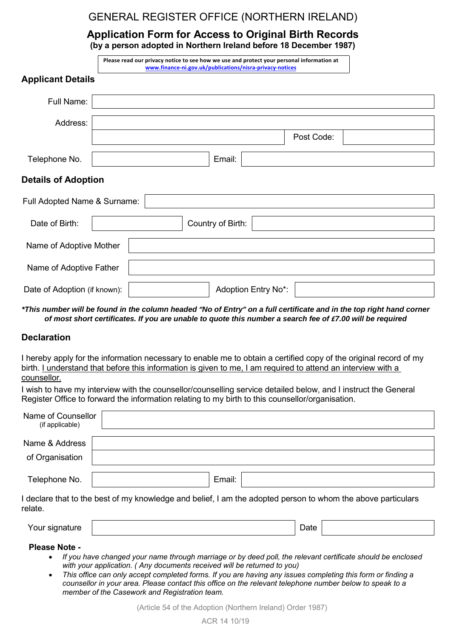## GENERAL REGISTER OFFICE (NORTHERN IRELAND)

**Application Form for Access to Original Birth Records (by a person adopted in Northern Ireland before 18 December 1987)**

|                              | Please read our privacy notice to see how we use and protect your personal information at<br>www.finance-ni.gov.uk/publications/nisra-privacy-notices |
|------------------------------|-------------------------------------------------------------------------------------------------------------------------------------------------------|
| <b>Applicant Details</b>     |                                                                                                                                                       |
| Full Name:                   |                                                                                                                                                       |
| Address:                     |                                                                                                                                                       |
|                              | Post Code:                                                                                                                                            |
| Telephone No.                | Email:                                                                                                                                                |
| <b>Details of Adoption</b>   |                                                                                                                                                       |
| Full Adopted Name & Surname: |                                                                                                                                                       |
| Date of Birth:               | Country of Birth:                                                                                                                                     |
| Name of Adoptive Mother      |                                                                                                                                                       |
| Name of Adoptive Father      |                                                                                                                                                       |
| Date of Adoption (if known): | Adoption Entry No*:                                                                                                                                   |

*\*This number will be found in the column headed "No of Entry" on a full certificate and in the top right hand corner of most short certificates. If you are unable to quote this number a search fee of £7.00 will be required*

#### **Declaration**

I hereby apply for the information necessary to enable me to obtain a certified copy of the original record of my birth. I understand that before this information is given to me, I am required to attend an interview with a counsellor.

I wish to have my interview with the counsellor/counselling service detailed below, and I instruct the General Register Office to forward the information relating to my birth to this counsellor/organisation.

| Name of Counsellor<br>(if applicable)                                                                                   |        |  |  |  |  |  |  |
|-------------------------------------------------------------------------------------------------------------------------|--------|--|--|--|--|--|--|
| Name & Address<br>of Organisation                                                                                       |        |  |  |  |  |  |  |
| Telephone No.                                                                                                           | Email: |  |  |  |  |  |  |
| I declare that to the best of my knowledge and belief, I am the adopted person to whom the above particulars<br>relate. |        |  |  |  |  |  |  |

| Your si<br>`' | )ate<br>$  -$ |  |
|---------------|---------------|--|
|               |               |  |

**Please Note -** 

- *If you have changed your name through marriage or by deed poll, the relevant certificate should be enclosed with your application. ( Any documents received will be returned to you)*
- *This office can only accept completed forms. If you are having any issues completing this form or finding a counsellor in your area. Please contact this office on the relevant telephone number below to speak to a member of the Casework and Registration team.*

(Article 54 of the Adoption (Northern Ireland) Order 1987)